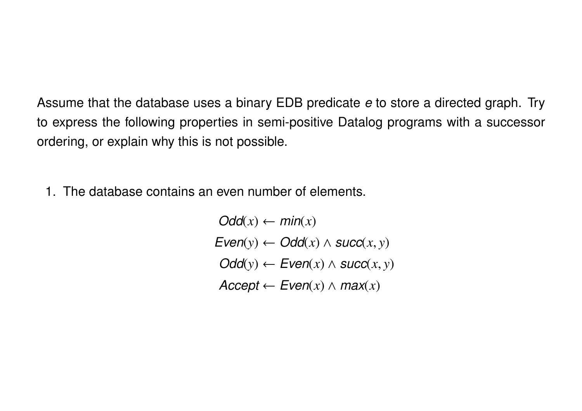Assume that the database uses a binary EDB predicate *e* to store a directed graph. Try to express the following properties in semi-positive Datalog programs with a successor ordering, or explain why this is not possible.

1. The database contains an even number of elements.

 $Odd(x) \leftarrow min(x)$  $Even(y) \leftarrow Odd(x) \wedge succ(x, y)$  $Odd(y) \leftarrow Even(x) \wedge succ(x, y)$  $\textit{Accept} \leftarrow \textit{Even}(x) \land \textit{max}(x)$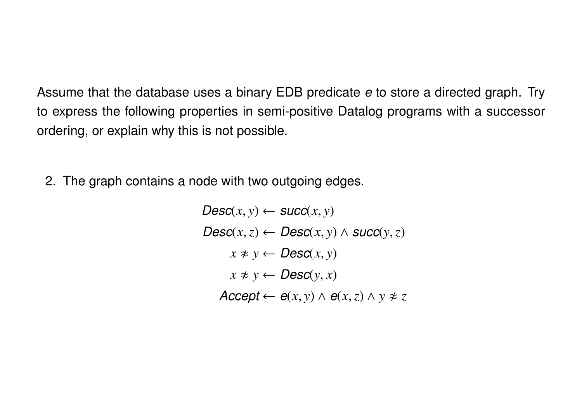Assume that the database uses a binary EDB predicate *e* to store a directed graph. Try to express the following properties in semi-positive Datalog programs with a successor ordering, or explain why this is not possible.

2. The graph contains a node with two outgoing edges.

 $Desc(x, y) \leftarrow succ(x, y)$  $Desc(x, z) \leftarrow Desc(x, y) \wedge succ(y, z)$  $x \neq y \leftarrow \text{Desc}(x, y)$  $x \not\approx y \leftarrow \text{Desc}(y, x)$  $\textit{Accept} \leftarrow e(x, y) \land e(x, z) \land y \neq z$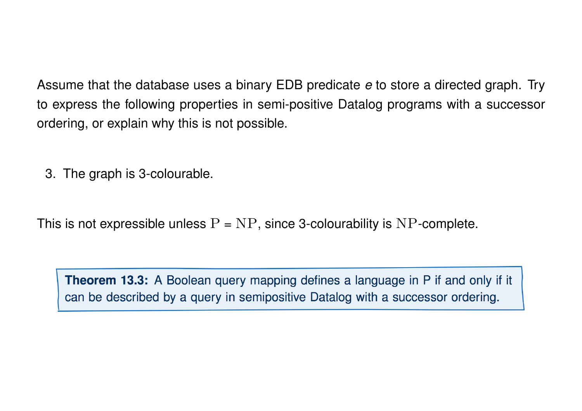Assume that the database uses a binary EDB predicate *e* to store a directed graph. Try to express the following properties in semi-positive Datalog programs with a successor ordering, or explain why this is not possible.

3. The graph is 3-colourable.

This is not expressible unless  $P = NP$ , since 3-colourability is NP-complete.

Theorem 13.3: A Boolean query mapping defines a language in P if and only if it can be described by a query in semipositive Datalog with a successor ordering.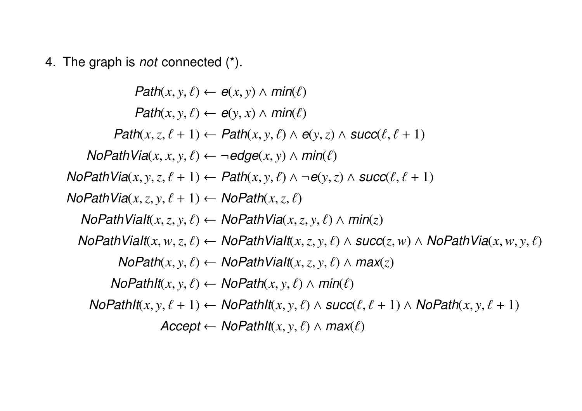4. The graph is *not* connected (\*).

 $Path(x, y, \ell) \leftarrow e(x, y) \wedge min(\ell)$  $Path(x, y, \ell) \leftarrow e(y, x) \wedge min(\ell)$  $Path(x, z, \ell + 1) \leftarrow Path(x, y, \ell) \wedge e(y, z) \wedge succ(\ell, \ell + 1)$  $N$ *oPathVia* $(x, x, y, \ell) \leftarrow \neg$ *edge* $(x, y) \wedge \textit{min}(\ell)$ *NoPathVia* $(x, y, z, \ell + 1) \leftarrow$  *Path* $(x, y, \ell) \wedge \neg e(y, z) \wedge$  *succ*( $\ell, \ell + 1$ ) *NoPathVia* $(x, z, y, \ell + 1) \leftarrow \text{NoPath}(x, z, \ell)$ *NoPathViaIt*( $x, z, y, \ell$ )  $\leftarrow$  *NoPathVia*( $x, z, y, \ell$ )  $\wedge$  *min*( $z$ )  $N$ oPathViaIt $(x, w, z, \ell) \leftarrow N$ oPathViaIt $(x, z, y, \ell) \wedge succ(z, w) \wedge N$ oPathVia $(x, w, y, \ell)$  $N$ *OPath* $(x, y, \ell) \leftarrow N$ *OPathViaIt*( $x, z, y, \ell$ )  $\wedge$  *max*(*z*)  $NoPathIt(x, y, \ell) \leftarrow NoPath(x, y, \ell) \wedge min(\ell)$  $NoPathIt(x, y, \ell + 1) \leftarrow NoPathIt(x, y, \ell) \wedge succ(\ell, \ell + 1) \wedge NoPath(x, y, \ell + 1)$  $\textit{Accept} \leftarrow \textit{NoPathIt}(x, y, \ell) \land \textit{max}(\ell)$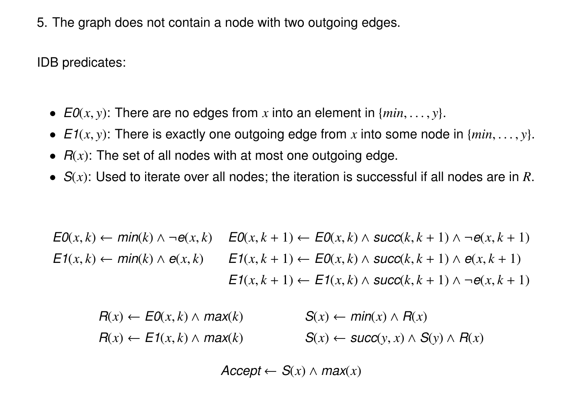5. The graph does not contain a node with two outgoing edges.

IDB predicates:

- $EO(x, y)$ : There are no edges from x into an element in  $\{min, \ldots, y\}$ .
- $E1(x, y)$ : There is exactly one outgoing edge from x into some node in  $\{min, \ldots, y\}$ .
- *R*(*x*): The set of all nodes with at most one outgoing edge.
- *S*(*x*): Used to iterate over all nodes; the iteration is successful if all nodes are in *R*.

$$
E0(x,k) \leftarrow min(k) \land \neg e(x,k) \quad E0(x,k+1) \leftarrow E0(x,k) \land succ(k,k+1) \land \neg e(x,k+1)
$$
  
\n
$$
E1(x,k) \leftarrow min(k) \land e(x,k) \quad E1(x,k+1) \leftarrow E0(x,k) \land succ(k,k+1) \land e(x,k+1)
$$
  
\n
$$
E1(x,k+1) \leftarrow E1(x,k) \land succ(k,k+1) \land \neg e(x,k+1)
$$

$$
R(x) \leftarrow E0(x, k) \land max(k) \qquad S(x) \leftarrow min(x) \land R(x)
$$
  

$$
R(x) \leftarrow E1(x, k) \land max(k) \qquad S(x) \leftarrow succ(y, x) \land S(y) \land R(x)
$$

 $\textit{Accept} \leftarrow S(x) \land \textit{max}(x)$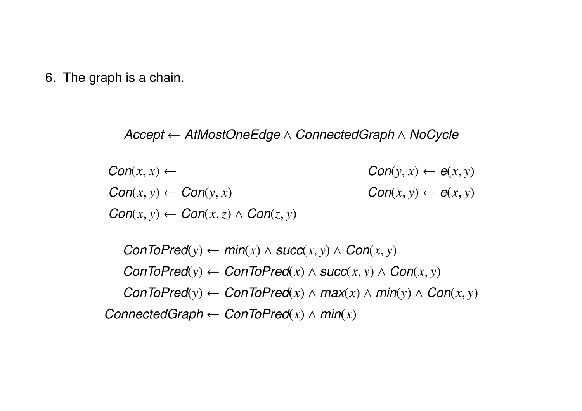6. The graph is a chain.

## *Accept AtMostOneEdge* ^ *ConnectedGraph* ^ *NoCycle*

 $Con(x, x) \leftarrow$   $Con(y, x) \leftarrow e(x, y)$  $Con(x, y) \leftarrow Con(y, x)$  *Con*(*x*, *y*)  $\leftarrow e(x, y)$  $Con(x, y) \leftarrow Con(x, z) \wedge Con(z, y)$ 

 $ConToPred(y) \leftarrow min(x) \land succ(x, y) \land Con(x, y)$  $ConToPred(y) \leftarrow ConToPred(x) \land succ(x, y) \land Con(x, y)$  $ConToPred(y) \leftarrow ConToPred(x) \wedge max(x) \wedge min(y) \wedge Con(x, y)$ *ConnectedGraph*  $\leftarrow$  *ConToPred* $(x) \wedge min(x)$